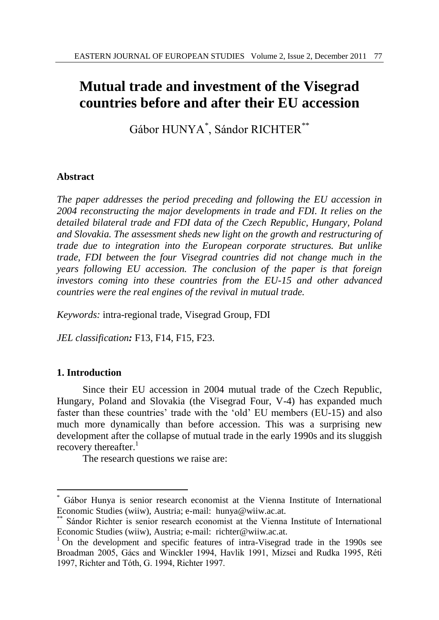# **Mutual trade and investment of the Visegrad countries before and after their EU accession**

Gábor HUNYA\* , Sándor RICHTER\*\*

#### **Abstract**

*The paper addresses the period preceding and following the EU accession in 2004 reconstructing the major developments in trade and FDI. It relies on the detailed bilateral trade and FDI data of the Czech Republic, Hungary, Poland and Slovakia. The assessment sheds new light on the growth and restructuring of trade due to integration into the European corporate structures. But unlike trade, FDI between the four Visegrad countries did not change much in the years following EU accession. The conclusion of the paper is that foreign investors coming into these countries from the EU-15 and other advanced countries were the real engines of the revival in mutual trade.*

*Keywords:* intra-regional trade, Visegrad Group, FDI

*JEL classification:* F13, F14, F15, F23.

#### **1. Introduction**

 $\overline{a}$ 

Since their EU accession in 2004 mutual trade of the Czech Republic, Hungary, Poland and Slovakia (the Visegrad Four, V-4) has expanded much faster than these countries' trade with the 'old' EU members (EU-15) and also much more dynamically than before accession. This was a surprising new development after the collapse of mutual trade in the early 1990s and its sluggish recovery thereafter.<sup>1</sup>

The research questions we raise are:

<sup>\*</sup> Gábor Hunya is senior research economist at the Vienna Institute of International Economic Studies (wiiw), Austria; e-mail: hunya@wiiw.ac.at.

Sándor Richter is senior research economist at the Vienna Institute of International Economic Studies (wiiw), Austria; e-mail: richter@wiiw.ac.at.

 $1$  On the development and specific features of intra-Visegrad trade in the 1990s see Broadman 2005, Gács and Winckler 1994, Havlik 1991, Mizsei and Rudka 1995, Réti 1997, Richter and Tóth, G. 1994, Richter 1997.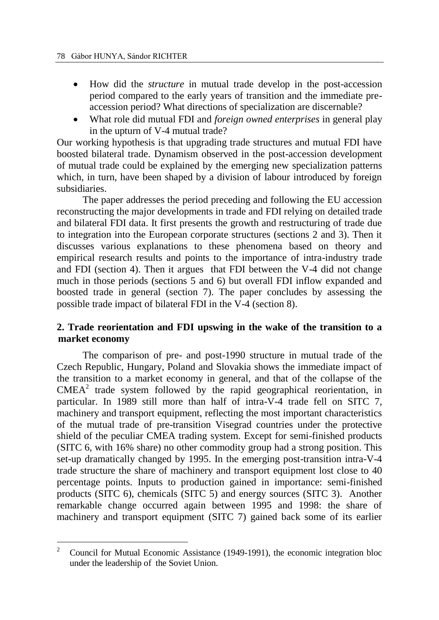- How did the *structure* in mutual trade develop in the post-accession period compared to the early years of transition and the immediate preaccession period? What directions of specialization are discernable?
- What role did mutual FDI and *foreign owned enterprises* in general play in the upturn of V-4 mutual trade?

Our working hypothesis is that upgrading trade structures and mutual FDI have boosted bilateral trade. Dynamism observed in the post-accession development of mutual trade could be explained by the emerging new specialization patterns which, in turn, have been shaped by a division of labour introduced by foreign subsidiaries.

The paper addresses the period preceding and following the EU accession reconstructing the major developments in trade and FDI relying on detailed trade and bilateral FDI data. It first presents the growth and restructuring of trade due to integration into the European corporate structures (sections 2 and 3). Then it discusses various explanations to these phenomena based on theory and empirical research results and points to the importance of intra-industry trade and FDI (section 4). Then it argues that FDI between the V-4 did not change much in those periods (sections 5 and 6) but overall FDI inflow expanded and boosted trade in general (section 7). The paper concludes by assessing the possible trade impact of bilateral FDI in the V-4 (section 8).

# **2. Trade reorientation and FDI upswing in the wake of the transition to a market economy**

The comparison of pre- and post-1990 structure in mutual trade of the Czech Republic, Hungary, Poland and Slovakia shows the immediate impact of the transition to a market economy in general, and that of the collapse of the  $CMEA<sup>2</sup>$  trade system followed by the rapid geographical reorientation, in particular. In 1989 still more than half of intra-V-4 trade fell on SITC 7, machinery and transport equipment, reflecting the most important characteristics of the mutual trade of pre-transition Visegrad countries under the protective shield of the peculiar CMEA trading system. Except for semi-finished products (SITC 6, with 16% share) no other commodity group had a strong position. This set-up dramatically changed by 1995. In the emerging post-transition intra-V-4 trade structure the share of machinery and transport equipment lost close to 40 percentage points. Inputs to production gained in importance: semi-finished products (SITC 6), chemicals (SITC 5) and energy sources (SITC 3). Another remarkable change occurred again between 1995 and 1998: the share of machinery and transport equipment (SITC 7) gained back some of its earlier

 $\overline{2}$ <sup>2</sup> Council for Mutual Economic Assistance (1949-1991), the economic integration bloc under the leadership of the Soviet Union.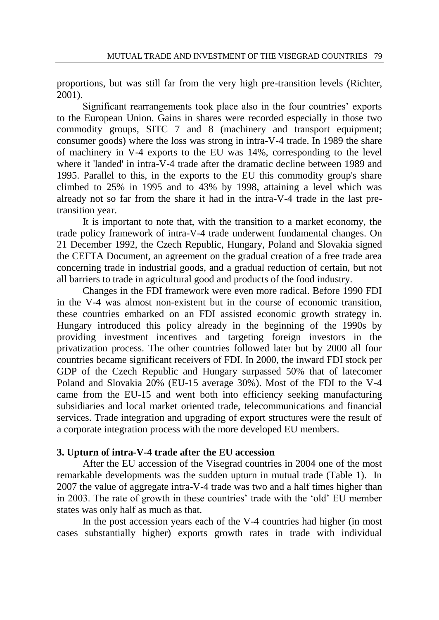proportions, but was still far from the very high pre-transition levels (Richter, 2001).

Significant rearrangements took place also in the four countries' exports to the European Union. Gains in shares were recorded especially in those two commodity groups, SITC 7 and 8 (machinery and transport equipment; consumer goods) where the loss was strong in intra-V-4 trade. In 1989 the share of machinery in V-4 exports to the EU was 14%, corresponding to the level where it 'landed' in intra-V-4 trade after the dramatic decline between 1989 and 1995. Parallel to this, in the exports to the EU this commodity group's share climbed to 25% in 1995 and to 43% by 1998, attaining a level which was already not so far from the share it had in the intra-V-4 trade in the last pretransition year.

It is important to note that, with the transition to a market economy, the trade policy framework of intra-V-4 trade underwent fundamental changes. On 21 December 1992, the Czech Republic, Hungary, Poland and Slovakia signed the CEFTA Document, an agreement on the gradual creation of a free trade area concerning trade in industrial goods, and a gradual reduction of certain, but not all barriers to trade in agricultural good and products of the food industry.

Changes in the FDI framework were even more radical. Before 1990 FDI in the V-4 was almost non-existent but in the course of economic transition, these countries embarked on an FDI assisted economic growth strategy in. Hungary introduced this policy already in the beginning of the 1990s by providing investment incentives and targeting foreign investors in the privatization process. The other countries followed later but by 2000 all four countries became significant receivers of FDI. In 2000, the inward FDI stock per GDP of the Czech Republic and Hungary surpassed 50% that of latecomer Poland and Slovakia 20% (EU-15 average 30%). Most of the FDI to the V-4 came from the EU-15 and went both into efficiency seeking manufacturing subsidiaries and local market oriented trade, telecommunications and financial services. Trade integration and upgrading of export structures were the result of a corporate integration process with the more developed EU members.

# **3. Upturn of intra-V-4 trade after the EU accession**

After the EU accession of the Visegrad countries in 2004 one of the most remarkable developments was the sudden upturn in mutual trade (Table 1). In 2007 the value of aggregate intra-V-4 trade was two and a half times higher than in 2003. The rate of growth in these countries' trade with the 'old' EU member states was only half as much as that.

In the post accession years each of the V-4 countries had higher (in most cases substantially higher) exports growth rates in trade with individual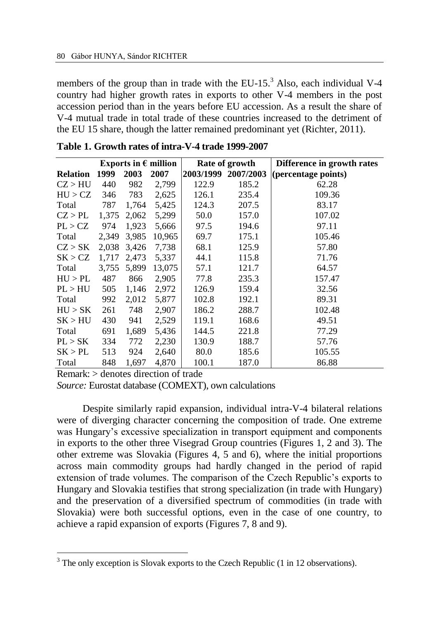members of the group than in trade with the EU-15. $<sup>3</sup>$  Also, each individual V-4</sup> country had higher growth rates in exports to other V-4 members in the post accession period than in the years before EU accession. As a result the share of V-4 mutual trade in total trade of these countries increased to the detriment of the EU 15 share, though the latter remained predominant yet (Richter, 2011).

|                 | Exports in $\epsilon$ million |       |        |           | Rate of growth | Difference in growth rates |  |  |
|-----------------|-------------------------------|-------|--------|-----------|----------------|----------------------------|--|--|
| <b>Relation</b> | 1999                          | 2003  | 2007   | 2003/1999 | 2007/2003      | (percentage points)        |  |  |
| CZ > HU         | 440                           | 982   | 2,799  | 122.9     | 185.2          | 62.28                      |  |  |
| HU > CZ         | 346                           | 783   | 2,625  | 126.1     | 235.4          | 109.36                     |  |  |
| Total           | 787                           | 1,764 | 5,425  | 124.3     | 207.5          | 83.17                      |  |  |
| CZ > PL         | 1,375                         | 2,062 | 5,299  | 50.0      | 157.0          | 107.02                     |  |  |
| PL > CZ         | 974                           | 1,923 | 5,666  | 97.5      | 194.6          | 97.11                      |  |  |
| Total           | 2,349                         | 3,985 | 10,965 | 69.7      | 175.1          | 105.46                     |  |  |
| CZ > SK         | 2,038                         | 3,426 | 7,738  | 68.1      | 125.9          | 57.80                      |  |  |
| SK > CZ         | 1.717                         | 2.473 | 5,337  | 44.1      | 115.8          | 71.76                      |  |  |
| Total           | 3,755                         | 5,899 | 13,075 | 57.1      | 121.7          | 64.57                      |  |  |
| HU > PL         | 487                           | 866   | 2,905  | 77.8      | 235.3          | 157.47                     |  |  |
| PL > HU         | 505                           | 1,146 | 2,972  | 126.9     | 159.4          | 32.56                      |  |  |
| Total           | 992                           | 2,012 | 5,877  | 102.8     | 192.1          | 89.31                      |  |  |
| HU > SK         | 261                           | 748   | 2,907  | 186.2     | 288.7          | 102.48                     |  |  |
| SK > HU         | 430                           | 941   | 2,529  | 119.1     | 168.6          | 49.51                      |  |  |
| Total           | 691                           | 1,689 | 5,436  | 144.5     | 221.8          | 77.29                      |  |  |
| PL > SK         | 334                           | 772   | 2,230  | 130.9     | 188.7          | 57.76                      |  |  |
| SK > PL         | 513                           | 924   | 2,640  | 80.0      | 185.6          | 105.55                     |  |  |
| Total           | 848                           | 1,697 | 4,870  | 100.1     | 187.0          | 86.88                      |  |  |

**Table 1. Growth rates of intra-V-4 trade 1999-2007**

Remark: > denotes direction of trade

 $\overline{a}$ 

*Source:* Eurostat database (COMEXT), own calculations

Despite similarly rapid expansion, individual intra-V-4 bilateral relations were of diverging character concerning the composition of trade. One extreme was Hungary's excessive specialization in transport equipment and components in exports to the other three Visegrad Group countries (Figures 1, 2 and 3). The other extreme was Slovakia (Figures 4, 5 and 6), where the initial proportions across main commodity groups had hardly changed in the period of rapid extension of trade volumes. The comparison of the Czech Republic's exports to Hungary and Slovakia testifies that strong specialization (in trade with Hungary) and the preservation of a diversified spectrum of commodities (in trade with Slovakia) were both successful options, even in the case of one country, to achieve a rapid expansion of exports (Figures 7, 8 and 9).

<sup>&</sup>lt;sup>3</sup> The only exception is Slovak exports to the Czech Republic (1 in 12 observations).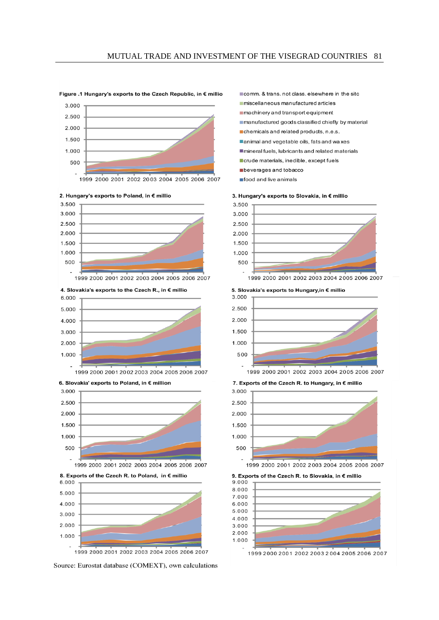#### Figure .1 Hungary's exports to the Czech Republic, in € millio











Source: Eurostat database (COMEXT), own calculations

comm. & trans, not class, elsewhere in the sitc

miscellaneous manufactured articles

machinery and transport equipment

manufactured goods classified chiefly by material

- chemicals and related products, n.e.s.
- animal and vegetable oils fats and waxes
- mineral fuels, lubricants and related materials
- crude materials, inedible, except fuels
- beverages and tobacco
- food and live animals









7. Exports of the Czech R. to Hungary, in € millio



9. Exports of the Czech R. to Slovakia, in € millio 9.000 8.000 7.000 6.000 5.000 4.000 3.000 2.000 1.000

1999 2000 2001 2002 2003 2004 2005 2006 2007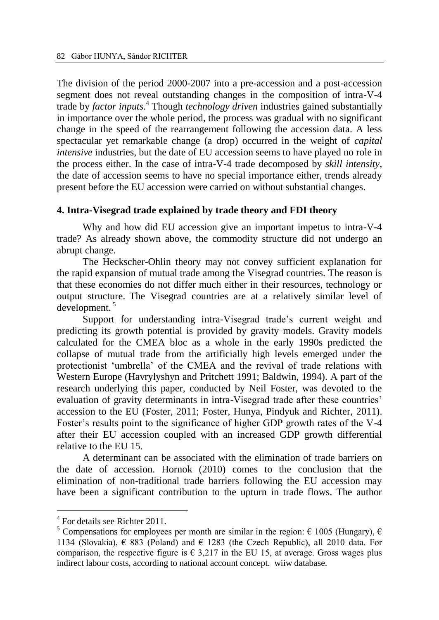The division of the period 2000-2007 into a pre-accession and a post-accession segment does not reveal outstanding changes in the composition of intra-V-4 trade by *factor inputs*. <sup>4</sup> Though *technology driven* industries gained substantially in importance over the whole period, the process was gradual with no significant change in the speed of the rearrangement following the accession data. A less spectacular yet remarkable change (a drop) occurred in the weight of *capital intensive* industries, but the date of EU accession seems to have played no role in the process either. In the case of intra-V-4 trade decomposed by *skill intensity,* the date of accession seems to have no special importance either, trends already present before the EU accession were carried on without substantial changes.

#### **4. Intra-Visegrad trade explained by trade theory and FDI theory**

Why and how did EU accession give an important impetus to intra-V-4 trade? As already shown above, the commodity structure did not undergo an abrupt change.

The Heckscher-Ohlin theory may not convey sufficient explanation for the rapid expansion of mutual trade among the Visegrad countries. The reason is that these economies do not differ much either in their resources, technology or output structure. The Visegrad countries are at a relatively similar level of development. <sup>5</sup>

Support for understanding intra-Visegrad trade's current weight and predicting its growth potential is provided by gravity models. Gravity models calculated for the CMEA bloc as a whole in the early 1990s predicted the collapse of mutual trade from the artificially high levels emerged under the protectionist 'umbrella' of the CMEA and the revival of trade relations with Western Europe (Havrylyshyn and Pritchett 1991; Baldwin, 1994). A part of the research underlying this paper, conducted by Neil Foster, was devoted to the evaluation of gravity determinants in intra-Visegrad trade after these countries' accession to the EU (Foster, 2011; Foster, Hunya, Pindyuk and Richter, 2011). Foster's results point to the significance of higher GDP growth rates of the V-4 after their EU accession coupled with an increased GDP growth differential relative to the EU 15.

A determinant can be associated with the elimination of trade barriers on the date of accession. Hornok (2010) comes to the conclusion that the elimination of non-traditional trade barriers following the EU accession may have been a significant contribution to the upturn in trade flows. The author

 $\overline{a}$ 

<sup>4</sup> For details see Richter 2011.

<sup>&</sup>lt;sup>5</sup> Compensations for employees per month are similar in the region:  $\epsilon$  1005 (Hungary),  $\epsilon$ 1134 (Slovakia),  $\epsilon$  883 (Poland) and  $\epsilon$  1283 (the Czech Republic), all 2010 data. For comparison, the respective figure is  $\epsilon$  3,217 in the EU 15, at average. Gross wages plus indirect labour costs, according to national account concept. wiiw database.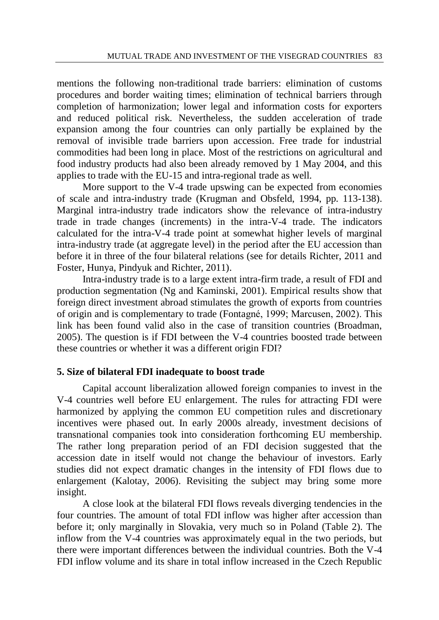mentions the following non-traditional trade barriers: elimination of customs procedures and border waiting times; elimination of technical barriers through completion of harmonization; lower legal and information costs for exporters and reduced political risk. Nevertheless, the sudden acceleration of trade expansion among the four countries can only partially be explained by the removal of invisible trade barriers upon accession. Free trade for industrial commodities had been long in place. Most of the restrictions on agricultural and food industry products had also been already removed by 1 May 2004, and this applies to trade with the EU-15 and intra-regional trade as well.

More support to the V-4 trade upswing can be expected from economies of scale and intra-industry trade (Krugman and Obsfeld, 1994, pp. 113-138). Marginal intra-industry trade indicators show the relevance of intra-industry trade in trade changes (increments) in the intra-V-4 trade. The indicators calculated for the intra-V-4 trade point at somewhat higher levels of marginal intra-industry trade (at aggregate level) in the period after the EU accession than before it in three of the four bilateral relations (see for details Richter, 2011 and Foster, Hunya, Pindyuk and Richter, 2011).

Intra-industry trade is to a large extent intra-firm trade, a result of FDI and production segmentation (Ng and Kaminski, 2001). Empirical results show that foreign direct investment abroad stimulates the growth of exports from countries of origin and is complementary to trade (Fontagné, 1999; Marcusen, 2002). This link has been found valid also in the case of transition countries (Broadman, 2005). The question is if FDI between the V-4 countries boosted trade between these countries or whether it was a different origin FDI?

#### **5. Size of bilateral FDI inadequate to boost trade**

Capital account liberalization allowed foreign companies to invest in the V-4 countries well before EU enlargement. The rules for attracting FDI were harmonized by applying the common EU competition rules and discretionary incentives were phased out. In early 2000s already, investment decisions of transnational companies took into consideration forthcoming EU membership. The rather long preparation period of an FDI decision suggested that the accession date in itself would not change the behaviour of investors. Early studies did not expect dramatic changes in the intensity of FDI flows due to enlargement (Kalotay, 2006). Revisiting the subject may bring some more insight.

A close look at the bilateral FDI flows reveals diverging tendencies in the four countries. The amount of total FDI inflow was higher after accession than before it; only marginally in Slovakia, very much so in Poland (Table 2). The inflow from the V-4 countries was approximately equal in the two periods, but there were important differences between the individual countries. Both the V-4 FDI inflow volume and its share in total inflow increased in the Czech Republic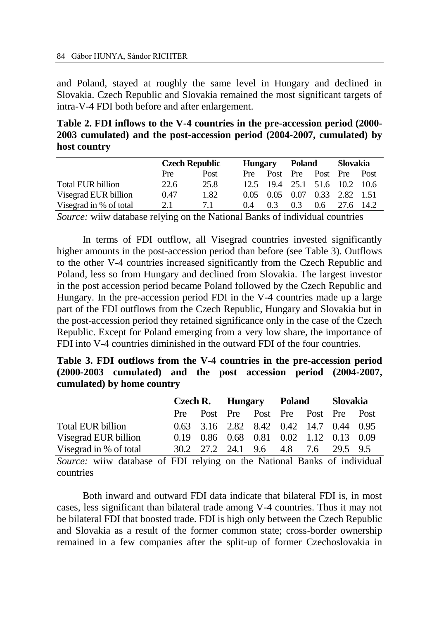and Poland, stayed at roughly the same level in Hungary and declined in Slovakia. Czech Republic and Slovakia remained the most significant targets of intra-V-4 FDI both before and after enlargement.

**Table 2. FDI inflows to the V-4 countries in the pre-accession period (2000- 2003 cumulated) and the post-accession period (2004-2007, cumulated) by host country**

|                          | <b>Czech Republic</b> |      | <b>Hungary</b> |     | Poland |                               | Slovakia  |      |
|--------------------------|-----------------------|------|----------------|-----|--------|-------------------------------|-----------|------|
|                          | Pre                   | Post | Pre            |     |        | Post Pre Post Pre Post        |           |      |
| <b>Total EUR billion</b> | 22.6                  | 25.8 |                |     |        | 12.5 19.4 25.1 51.6 10.2      |           | 10.6 |
| Visegrad EUR billion     | 0.47                  | 1.82 |                |     |        | 0.05 0.05 0.07 0.33 2.82 1.51 |           |      |
| Visegrad in % of total   | 2.1                   | 7.1  | 0.4            | 0.3 | 0.3    | $0.6^{\circ}$                 | 27.6 14.2 |      |

*Source:* wiiw database relying on the National Banks of individual countries

In terms of FDI outflow, all Visegrad countries invested significantly higher amounts in the post-accession period than before (see Table 3). Outflows to the other V-4 countries increased significantly from the Czech Republic and Poland, less so from Hungary and declined from Slovakia. The largest investor in the post accession period became Poland followed by the Czech Republic and Hungary. In the pre-accession period FDI in the V-4 countries made up a large part of the FDI outflows from the Czech Republic, Hungary and Slovakia but in the post-accession period they retained significance only in the case of the Czech Republic. Except for Poland emerging from a very low share, the importance of FDI into V-4 countries diminished in the outward FDI of the four countries.

| Table 3. FDI outflows from the V-4 countries in the pre-accession period |  |  |  |
|--------------------------------------------------------------------------|--|--|--|
| $(2000-2003$ cumulated) and the post accession period $(2004-2007)$ ,    |  |  |  |
| cumulated) by home country                                               |  |  |  |

|                        |  |  | Czech R. Hungary Poland Slovakia        |  |  |  |  |  |
|------------------------|--|--|-----------------------------------------|--|--|--|--|--|
|                        |  |  | Pre Post Pre Post Pre Post Pre Post     |  |  |  |  |  |
| Total EUR billion      |  |  | 0.63 3.16 2.82 8.42 0.42 14.7 0.44 0.95 |  |  |  |  |  |
| Visegrad EUR billion   |  |  | 0.19 0.86 0.68 0.81 0.02 1.12 0.13 0.09 |  |  |  |  |  |
| Visegrad in % of total |  |  | 30.2 27.2 24.1 9.6 4.8 7.6 29.5 9.5     |  |  |  |  |  |

*Source:* wiiw database of FDI relying on the National Banks of individual countries

Both inward and outward FDI data indicate that bilateral FDI is, in most cases, less significant than bilateral trade among V-4 countries. Thus it may not be bilateral FDI that boosted trade. FDI is high only between the Czech Republic and Slovakia as a result of the former common state; cross-border ownership remained in a few companies after the split-up of former Czechoslovakia in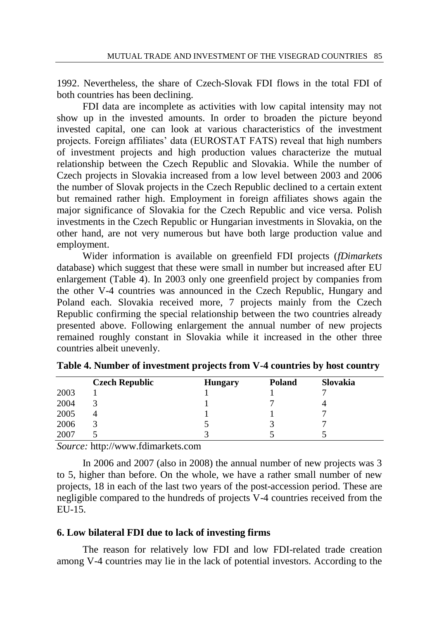1992. Nevertheless, the share of Czech-Slovak FDI flows in the total FDI of both countries has been declining.

FDI data are incomplete as activities with low capital intensity may not show up in the invested amounts. In order to broaden the picture beyond invested capital, one can look at various characteristics of the investment projects. Foreign affiliates' data (EUROSTAT FATS) reveal that high numbers of investment projects and high production values characterize the mutual relationship between the Czech Republic and Slovakia. While the number of Czech projects in Slovakia increased from a low level between 2003 and 2006 the number of Slovak projects in the Czech Republic declined to a certain extent but remained rather high. Employment in foreign affiliates shows again the major significance of Slovakia for the Czech Republic and vice versa. Polish investments in the Czech Republic or Hungarian investments in Slovakia, on the other hand, are not very numerous but have both large production value and employment.

Wider information is available on greenfield FDI projects (*fDimarkets* database) which suggest that these were small in number but increased after EU enlargement (Table 4). In 2003 only one greenfield project by companies from the other V-4 countries was announced in the Czech Republic, Hungary and Poland each. Slovakia received more, 7 projects mainly from the Czech Republic confirming the special relationship between the two countries already presented above. Following enlargement the annual number of new projects remained roughly constant in Slovakia while it increased in the other three countries albeit unevenly.

|      | <b>Czech Republic</b> | <b>Hungary</b> | <b>Poland</b> | Slovakia |
|------|-----------------------|----------------|---------------|----------|
| 2003 |                       |                |               |          |
| 2004 |                       |                |               |          |
| 2005 |                       |                |               |          |
| 2006 |                       |                |               |          |
| 2007 |                       |                |               |          |

**Table 4. Number of investment projects from V-4 countries by host country**

*Source:* http://www.fdimarkets.com

In 2006 and 2007 (also in 2008) the annual number of new projects was 3 to 5, higher than before. On the whole, we have a rather small number of new projects, 18 in each of the last two years of the post-accession period. These are negligible compared to the hundreds of projects V-4 countries received from the EU-15.

# **6. Low bilateral FDI due to lack of investing firms**

The reason for relatively low FDI and low FDI-related trade creation among V-4 countries may lie in the lack of potential investors. According to the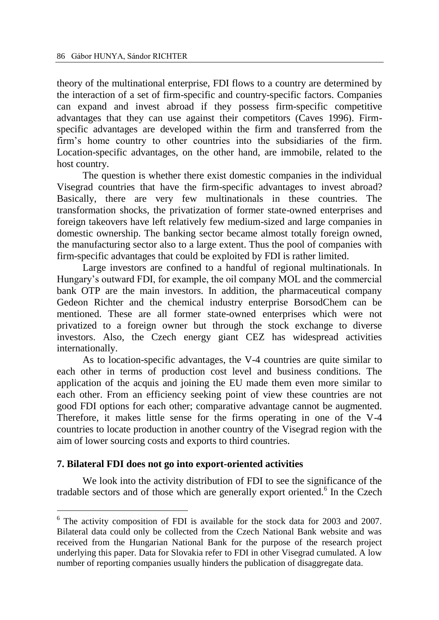theory of the multinational enterprise, FDI flows to a country are determined by the interaction of a set of firm-specific and country-specific factors. Companies can expand and invest abroad if they possess firm-specific competitive advantages that they can use against their competitors (Caves 1996). Firmspecific advantages are developed within the firm and transferred from the firm's home country to other countries into the subsidiaries of the firm. Location-specific advantages, on the other hand, are immobile, related to the host country.

The question is whether there exist domestic companies in the individual Visegrad countries that have the firm-specific advantages to invest abroad? Basically, there are very few multinationals in these countries. The transformation shocks, the privatization of former state-owned enterprises and foreign takeovers have left relatively few medium-sized and large companies in domestic ownership. The banking sector became almost totally foreign owned, the manufacturing sector also to a large extent. Thus the pool of companies with firm-specific advantages that could be exploited by FDI is rather limited.

Large investors are confined to a handful of regional multinationals. In Hungary's outward FDI, for example, the oil company MOL and the commercial bank OTP are the main investors. In addition, the pharmaceutical company Gedeon Richter and the chemical industry enterprise BorsodChem can be mentioned. These are all former state-owned enterprises which were not privatized to a foreign owner but through the stock exchange to diverse investors. Also, the Czech energy giant CEZ has widespread activities internationally.

As to location-specific advantages, the V-4 countries are quite similar to each other in terms of production cost level and business conditions. The application of the acquis and joining the EU made them even more similar to each other. From an efficiency seeking point of view these countries are not good FDI options for each other; comparative advantage cannot be augmented. Therefore, it makes little sense for the firms operating in one of the V-4 countries to locate production in another country of the Visegrad region with the aim of lower sourcing costs and exports to third countries.

#### **7. Bilateral FDI does not go into export-oriented activities**

 $\overline{a}$ 

We look into the activity distribution of FDI to see the significance of the tradable sectors and of those which are generally export oriented.<sup>6</sup> In the Czech

<sup>6</sup> The activity composition of FDI is available for the stock data for 2003 and 2007. Bilateral data could only be collected from the Czech National Bank website and was received from the Hungarian National Bank for the purpose of the research project underlying this paper. Data for Slovakia refer to FDI in other Visegrad cumulated. A low number of reporting companies usually hinders the publication of disaggregate data.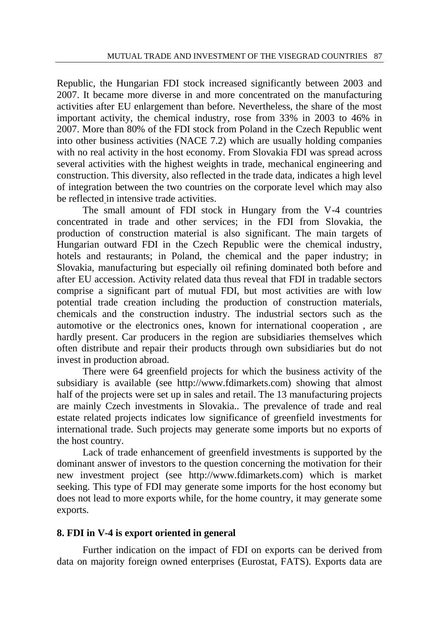Republic, the Hungarian FDI stock increased significantly between 2003 and 2007. It became more diverse in and more concentrated on the manufacturing activities after EU enlargement than before. Nevertheless, the share of the most important activity, the chemical industry, rose from 33% in 2003 to 46% in 2007. More than 80% of the FDI stock from Poland in the Czech Republic went into other business activities (NACE 7.2) which are usually holding companies with no real activity in the host economy. From Slovakia FDI was spread across several activities with the highest weights in trade, mechanical engineering and construction. This diversity, also reflected in the trade data, indicates a high level of integration between the two countries on the corporate level which may also be reflected in intensive trade activities.

The small amount of FDI stock in Hungary from the V-4 countries concentrated in trade and other services; in the FDI from Slovakia, the production of construction material is also significant. The main targets of Hungarian outward FDI in the Czech Republic were the chemical industry, hotels and restaurants; in Poland, the chemical and the paper industry; in Slovakia, manufacturing but especially oil refining dominated both before and after EU accession. Activity related data thus reveal that FDI in tradable sectors comprise a significant part of mutual FDI, but most activities are with low potential trade creation including the production of construction materials, chemicals and the construction industry. The industrial sectors such as the automotive or the electronics ones, known for international cooperation , are hardly present. Car producers in the region are subsidiaries themselves which often distribute and repair their products through own subsidiaries but do not invest in production abroad.

There were 64 greenfield projects for which the business activity of the subsidiary is available (see [http://www.fdimarkets.com\)](http://www.fdimarkets.com/) showing that almost half of the projects were set up in sales and retail. The 13 manufacturing projects are mainly Czech investments in Slovakia.. The prevalence of trade and real estate related projects indicates low significance of greenfield investments for international trade. Such projects may generate some imports but no exports of the host country.

Lack of trade enhancement of greenfield investments is supported by the dominant answer of investors to the question concerning the motivation for their new investment project (see [http://www.fdimarkets.com\)](http://www.fdimarkets.com/) which is market seeking. This type of FDI may generate some imports for the host economy but does not lead to more exports while, for the home country, it may generate some exports.

# **8. FDI in V-4 is export oriented in general**

Further indication on the impact of FDI on exports can be derived from data on majority foreign owned enterprises (Eurostat, FATS). Exports data are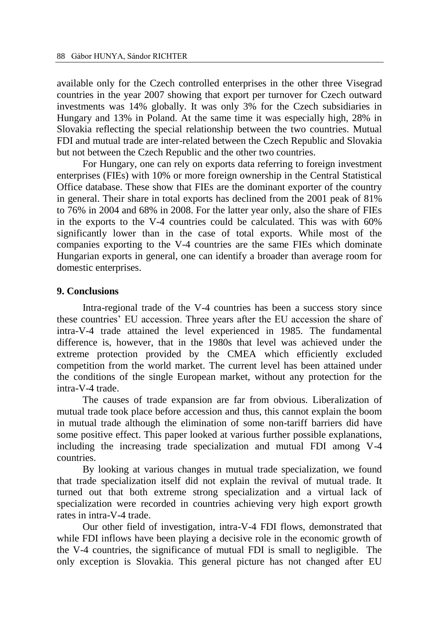available only for the Czech controlled enterprises in the other three Visegrad countries in the year 2007 showing that export per turnover for Czech outward investments was 14% globally. It was only 3% for the Czech subsidiaries in Hungary and 13% in Poland. At the same time it was especially high, 28% in Slovakia reflecting the special relationship between the two countries. Mutual FDI and mutual trade are inter-related between the Czech Republic and Slovakia but not between the Czech Republic and the other two countries.

For Hungary, one can rely on exports data referring to foreign investment enterprises (FIEs) with 10% or more foreign ownership in the Central Statistical Office database. These show that FIEs are the dominant exporter of the country in general. Their share in total exports has declined from the 2001 peak of 81% to 76% in 2004 and 68% in 2008. For the latter year only, also the share of FIEs in the exports to the V-4 countries could be calculated. This was with 60% significantly lower than in the case of total exports. While most of the companies exporting to the V-4 countries are the same FIEs which dominate Hungarian exports in general, one can identify a broader than average room for domestic enterprises.

### **9. Conclusions**

Intra-regional trade of the V-4 countries has been a success story since these countries' EU accession. Three years after the EU accession the share of intra-V-4 trade attained the level experienced in 1985. The fundamental difference is, however, that in the 1980s that level was achieved under the extreme protection provided by the CMEA which efficiently excluded competition from the world market. The current level has been attained under the conditions of the single European market, without any protection for the intra-V-4 trade.

The causes of trade expansion are far from obvious. Liberalization of mutual trade took place before accession and thus, this cannot explain the boom in mutual trade although the elimination of some non-tariff barriers did have some positive effect. This paper looked at various further possible explanations, including the increasing trade specialization and mutual FDI among V-4 countries.

By looking at various changes in mutual trade specialization, we found that trade specialization itself did not explain the revival of mutual trade. It turned out that both extreme strong specialization and a virtual lack of specialization were recorded in countries achieving very high export growth rates in intra-V-4 trade.

Our other field of investigation, intra-V-4 FDI flows, demonstrated that while FDI inflows have been playing a decisive role in the economic growth of the V-4 countries, the significance of mutual FDI is small to negligible. The only exception is Slovakia. This general picture has not changed after EU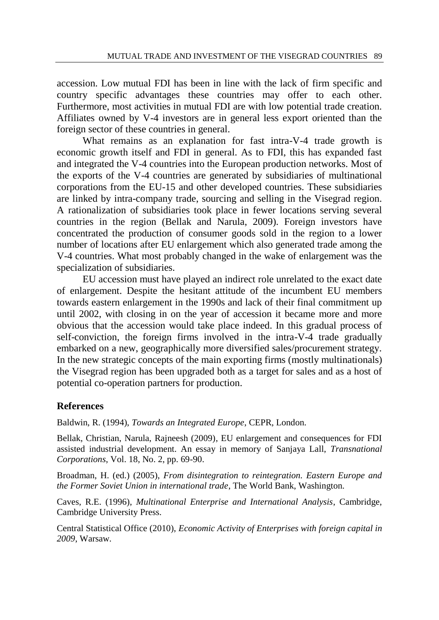accession. Low mutual FDI has been in line with the lack of firm specific and country specific advantages these countries may offer to each other. Furthermore, most activities in mutual FDI are with low potential trade creation. Affiliates owned by V-4 investors are in general less export oriented than the foreign sector of these countries in general.

What remains as an explanation for fast intra-V-4 trade growth is economic growth itself and FDI in general. As to FDI, this has expanded fast and integrated the V-4 countries into the European production networks. Most of the exports of the V-4 countries are generated by subsidiaries of multinational corporations from the EU-15 and other developed countries. These subsidiaries are linked by intra-company trade, sourcing and selling in the Visegrad region. A rationalization of subsidiaries took place in fewer locations serving several countries in the region (Bellak and Narula, 2009). Foreign investors have concentrated the production of consumer goods sold in the region to a lower number of locations after EU enlargement which also generated trade among the V-4 countries. What most probably changed in the wake of enlargement was the specialization of subsidiaries.

EU accession must have played an indirect role unrelated to the exact date of enlargement. Despite the hesitant attitude of the incumbent EU members towards eastern enlargement in the 1990s and lack of their final commitment up until 2002, with closing in on the year of accession it became more and more obvious that the accession would take place indeed. In this gradual process of self-conviction, the foreign firms involved in the intra-V-4 trade gradually embarked on a new, geographically more diversified sales/procurement strategy. In the new strategic concepts of the main exporting firms (mostly multinationals) the Visegrad region has been upgraded both as a target for sales and as a host of potential co-operation partners for production.

# **References**

Baldwin, R. (1994), *Towards an Integrated Europe*, CEPR, London.

Bellak, Christian, Narula, Rajneesh (2009), EU enlargement and consequences for FDI assisted industrial development. An essay in memory of Sanjaya Lall, *Transnational Corporations*, Vol. 18, No. 2, pp. 69-90.

Broadman, H. (ed.) (2005), *From disintegration to reintegration. Eastern Europe and the Former Soviet Union in international trade*, The World Bank, Washington.

Caves, R.E. (1996), *Multinational Enterprise and International Analysis*, Cambridge, Cambridge University Press.

Central Statistical Office (2010), *Economic Activity of Enterprises with foreign capital in 2009*, Warsaw.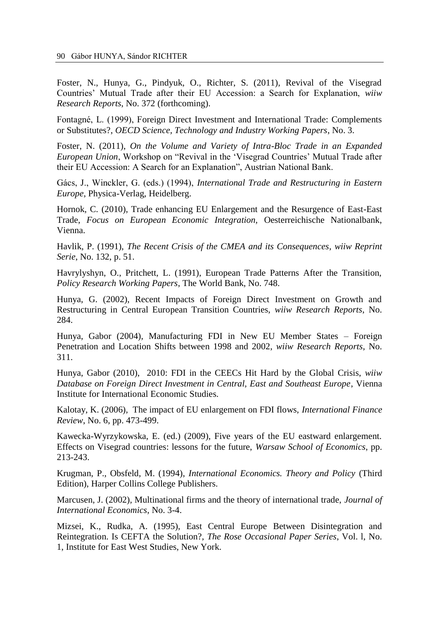Foster, N., Hunya, G., Pindyuk, O., Richter, S. (2011), Revival of the Visegrad Countries' Mutual Trade after their EU Accession: a Search for Explanation, *wiiw Research Reports*, No. 372 (forthcoming).

Fontagné, L. (1999), Foreign Direct Investment and International Trade: Complements or Substitutes?, *OECD Science, Technology and Industry Working Papers*, No. 3.

Foster, N. (2011), *On the Volume and Variety of Intra-Bloc Trade in an Expanded European Union*, Workshop on "Revival in the 'Visegrad Countries' Mutual Trade after their EU Accession: A Search for an Explanation", Austrian National Bank.

Gács, J., Winckler, G. (eds.) (1994), *International Trade and Restructuring in Eastern Europe*, Physica-Verlag, Heidelberg.

Hornok, C. (2010), Trade enhancing EU Enlargement and the Resurgence of East-East Trade, *Focus on European Economic Integration,* Oesterreichische Nationalbank, Vienna.

Havlik, P. (1991), *The Recent Crisis of the CMEA and its Consequences*, *wiiw Reprint Serie*, No. 132, p. 51.

Havrylyshyn, O., Pritchett, L. (1991), European Trade Patterns After the Transition, *Policy Research Working Papers*, The World Bank, No. 748.

Hunya, G. (2002), Recent Impacts of Foreign Direct Investment on Growth and Restructuring in Central European Transition Countries, *wiiw Research Reports*, No. 284.

Hunya, Gabor (2004), Manufacturing FDI in New EU Member States – Foreign Penetration and Location Shifts between 1998 and 2002, *wiiw Research Reports*, No. 311.

Hunya, Gabor (2010), 2010: FDI in the CEECs Hit Hard by the Global Crisis, *wiiw Database on Foreign Direct Investment in Central, East and Southeast Europe*, Vienna Institute for International Economic Studies.

Kalotay, K. (2006), The impact of EU enlargement on FDI flows, *International Finance Review*, No. 6, pp. 473-499.

Kawecka-Wyrzykowska, E. (ed.) (2009), Five years of the EU eastward enlargement. Effects on Visegrad countries: lessons for the future, *Warsaw School of Economics*, pp. 213-243.

Krugman, P., Obsfeld, M. (1994), *International Economics. Theory and Policy* (Third Edition), Harper Collins College Publishers.

Marcusen, J. (2002), Multinational firms and the theory of international trade, *Journal of International Economics*, No. 3-4.

Mizsei, K., Rudka, A. (1995), East Central Europe Between Disintegration and Reintegration. Is CEFTA the Solution?, *The Rose Occasional Paper Series*, Vol. l, No. 1, Institute for East West Studies, New York.